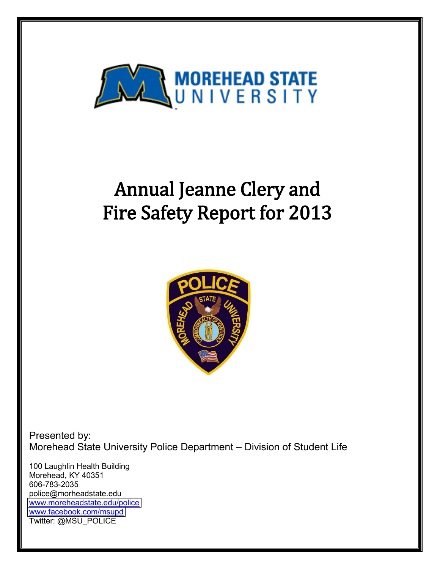

# Annual Jeanne Clery and **Fire Safety Report for 2013**



Presented by: Morehead State University Police Department - Division of Student Life

100 Laughlin Health Building Morehead, KY 40351 606-783-2035 police@morheadstate.edu [www.moreheadstate.edu/police](http://www.moreheadstate.edu/police) [www.facebook.com/msupd](http://www.facebook.com/msupd) Twitter: @MSU\_POLICE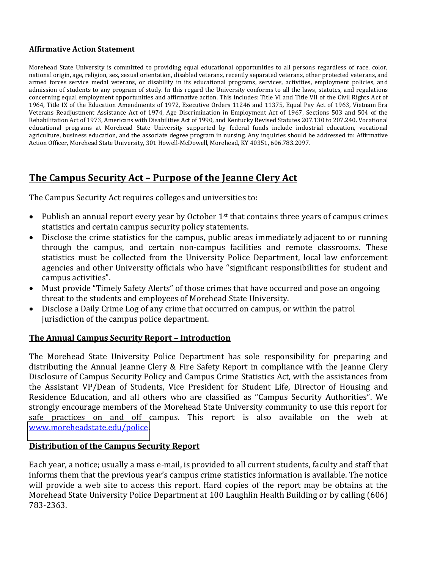#### **Affirmative Action Statement**

Morehead State University is committed to providing equal educational opportunities to all persons regardless of race, color, national origin, age, religion, sex, sexual orientation, disabled veterans, recently separated veterans, other protected veterans, and armed forces service medal veterans, or disability in its educational programs, services, activities, employment policies, and admission of students to any program of study. In this regard the University conforms to all the laws, statutes, and regulations concerning equal employment opportunities and affirmative action. This includes: Title VI and Title VII of the Civil Rights Act of 1964, Title IX of the Education Amendments of 1972, Executive Orders 11246 and 11375, Equal Pay Act of 1963, Vietnam Era Veterans Readjustment Assistance Act of 1974, Age Discrimination in Employment Act of 1967, Sections 503 and 504 of the Rehabilitation Act of 1973, Americans with Disabilities Act of 1990, and Kentucky Revised Statutes 207.130 to 207.240. Vocational educational programs at Morehead State University supported by federal funds include industrial education, vocational agriculture, business education, and the associate degree program in nursing. Any inquiries should be addressed to: Affirmative Action Officer, Morehead State University, 301 Howell-McDowell, Morehead, KY 40351, 606.783.2097.

# **The Campus Security Act - Purpose of the Jeanne Clery Act**

The Campus Security Act requires colleges and universities to:

- Publish an annual report every year by October  $1<sup>st</sup>$  that contains three years of campus crimes statistics and certain campus security policy statements.
- Disclose the crime statistics for the campus, public areas immediately adjacent to or running through the campus, and certain non-campus facilities and remote classrooms. These statistics must be collected from the University Police Department, local law enforcement agencies and other University officials who have "significant responsibilities for student and campus activities".
- Must provide "Timely Safety Alerts" of those crimes that have occurred and pose an ongoing threat to the students and employees of Morehead State University.
- Disclose a Daily Crime Log of any crime that occurred on campus, or within the patrol jurisdiction of the campus police department.

#### **The\*Annual\*Campus\*Security\*Report\*Ȃ Introduction**

The Morehead State University Police Department has sole responsibility for preparing and distributing the Annual Jeanne Clery & Fire Safety Report in compliance with the Jeanne Clery Disclosure of Campus Security Policy and Campus Crime Statistics Act, with the assistances from the Assistant VP/Dean of Students, Vice President for Student Life, Director of Housing and Residence Education, and all others who are classified as "Campus Security Authorities". We strongly encourage members of the Morehead State University community to use this report for safe practices on and off campus. This report is also available on the web at [www.moreheadstate.edu/police.](http://www.moreheadstate.edu/police)

#### **Distribution of the Campus Security Report**

Each year, a notice; usually a mass e-mail, is provided to all current students, faculty and staff that informs them that the previous year's campus crime statistics information is available. The notice will provide a web site to access this report. Hard copies of the report may be obtains at the Morehead State University Police Department at 100 Laughlin Health Building or by calling (606) 783-2363.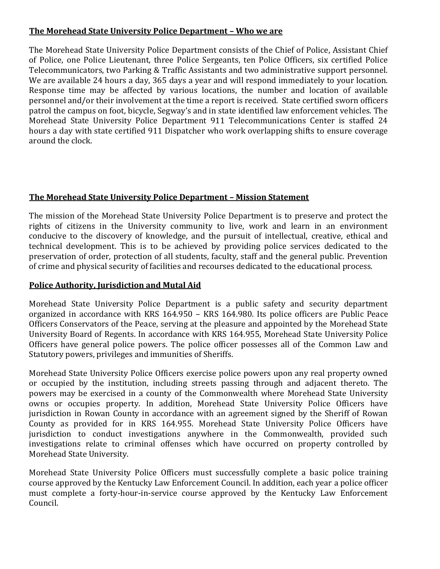## **The Morehead State University Police Department - Who we are**

The Morehead State University Police Department consists of the Chief of Police, Assistant Chief of Police, one Police Lieutenant, three Police Sergeants, ten Police Officers, six certified Police Telecommunicators, two Parking & Traffic Assistants and two administrative support personnel. We are available 24 hours a day, 365 days a year and will respond immediately to your location. Response time may be affected by various locations, the number and location of available personnel and/or their involvement at the time a report is received. State certified sworn officers patrol the campus on foot, bicycle, Segway's and in state identified law enforcement vehicles. The Morehead State University Police Department 911 Telecommunications Center is staffed 24 hours a day with state certified 911 Dispatcher who work overlapping shifts to ensure coverage around the clock.

# **The\*Morehead\*State\*University\*Police\*Department\*Ȃ Mission\*Statement**

The mission of the Morehead State University Police Department is to preserve and protect the rights of citizens in the University community to live, work and learn in an environment conducive to the discovery of knowledge, and the pursuit of intellectual, creative, ethical and technical development. This is to be achieved by providing police services dedicated to the preservation of order, protection of all students, faculty, staff and the general public. Prevention of crime and physical security of facilities and recourses dedicated to the educational process.

## Police Authority, Jurisdiction and Mutal Aid

Morehead State University Police Department is a public safety and security department organized in accordance with KRS 164.950 - KRS 164.980. Its police officers are Public Peace Officers Conservators of the Peace, serving at the pleasure and appointed by the Morehead State University Board of Regents. In accordance with KRS 164.955, Morehead State University Police Officers have general police powers. The police officer possesses all of the Common Law and Statutory powers, privileges and immunities of Sheriffs.

Morehead State University Police Officers exercise police powers upon any real property owned or occupied by the institution, including streets passing through and adjacent thereto. The powers may be exercised in a county of the Commonwealth where Morehead State University owns or occupies property. In addition, Morehead State University Police Officers have jurisdiction in Rowan County in accordance with an agreement signed by the Sheriff of Rowan County as provided for in KRS 164.955. Morehead State University Police Officers have jurisdiction to conduct investigations anywhere in the Commonwealth, provided such investigations relate to criminal offenses which have occurred on property controlled by Morehead State University.

Morehead State University Police Officers must successfully complete a basic police training course approved by the Kentucky Law Enforcement Council. In addition, each year a police officer must complete a forty-hour-in-service course approved by the Kentucky Law Enforcement Council.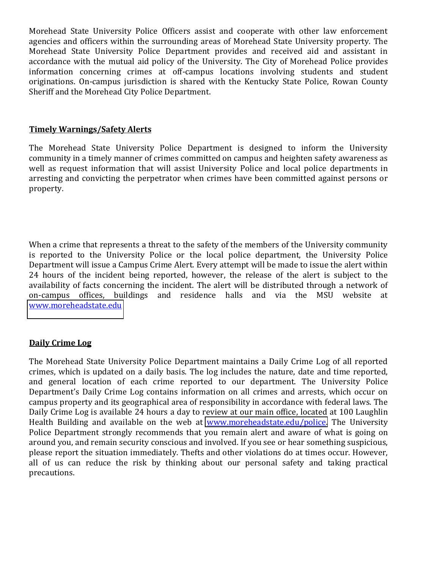Morehead State University Police Officers assist and cooperate with other law enforcement agencies and officers within the surrounding areas of Morehead State University property. The Morehead State University Police Department provides and received aid and assistant in accordance with the mutual aid policy of the University. The City of Morehead Police provides information concerning crimes at off-campus locations involving students and student originations. On-campus jurisdiction is shared with the Kentucky State Police, Rowan County Sheriff and the Morehead City Police Department.

#### **Timely\*Warnings/Safety\*Alerts**

The Morehead State University Police Department is designed to inform the University community in a timely manner of crimes committed on campus and heighten safety awareness as well as request information that will assist University Police and local police departments in arresting and convicting the perpetrator when crimes have been committed against persons or property.

When a crime that represents a threat to the safety of the members of the University community is reported to the University Police or the local police department, the University Police Department will issue a Campus Crime Alert. Every attempt will be made to issue the alert within 24 hours of the incident being reported, however, the release of the alert is subject to the availability of facts concerning the incident. The alert will be distributed through a network of on-campus offices, buildings and residence halls and via the MSU website at [www.moreheadstate.edu](http://www.moreheadstate.edu/)

#### **Daily Crime Log**

The Morehead State University Police Department maintains a Daily Crime Log of all reported crimes, which is updated on a daily basis. The log includes the nature, date and time reported, and general location of each crime reported to our department. The University Police Department's Daily Crime Log contains information on all crimes and arrests, which occur on campus property and its geographical area of responsibility in accordance with federal laws. The Daily Crime Log is available 24 hours a day to review at our main office, located at 100 Laughlin Health Building and available on the web at [www.moreheadstate.edu/police.](http://www.moreheadstate.edu/police) The University Police Department strongly recommends that you remain alert and aware of what is going on around you, and remain security conscious and involved. If you see or hear something suspicious, please report the situation immediately. Thefts and other violations do at times occur. However, all of us can reduce the risk by thinking about our personal safety and taking practical precautions.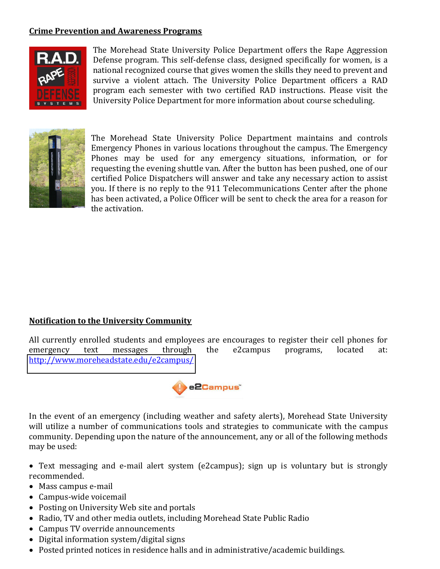## **Crime Prevention and Awareness Programs**



The Morehead State University Police Department offers the Rape Aggression Defense program. This self-defense class, designed specifically for women, is a national recognized course that gives women the skills they need to prevent and survive a violent attach. The University Police Department officers a RAD program each semester with two certified RAD instructions. Please visit the University Police Department for more information about course scheduling.



The Morehead State University Police Department maintains and controls Emergency Phones in various locations throughout the campus. The Emergency Phones may be used for any emergency situations, information, or for requesting the evening shuttle van. After the button has been pushed, one of our certified Police Dispatchers will answer and take any necessary action to assist you. If there is no reply to the 911 Telecommunications Center after the phone has been activated, a Police Officer will be sent to check the area for a reason for the activation.

#### **Notification to the University Community**

All currently enrolled students and employees are encourages to register their cell phones for emergency text messages through the e2campus programs, located at: <http://www.moreheadstate.edu/e2campus/>



In the event of an emergency (including weather and safety alerts), Morehead State University will utilize a number of communications tools and strategies to communicate with the campus community. Depending upon the nature of the announcement, any or all of the following methods may be used:

- Text messaging and e-mail alert system (e2campus); sign up is voluntary but is strongly recommended.
- $•$  Mass campus e-mail
- $\bullet$  Campus-wide voicemail
- Posting on University Web site and portals
- Radio, TV and other media outlets, including Morehead State Public Radio
- Campus TV override announcements
- $\bullet$  Digital information system/digital signs
- Posted printed notices in residence halls and in administrative/academic buildings.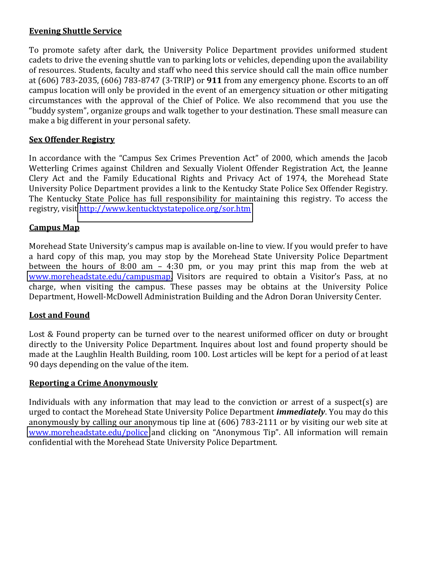## **Evening Shuttle Service**

To promote safety after dark, the University Police Department provides uniformed student cadets to drive the evening shuttle van to parking lots or vehicles, depending upon the availability of resources. Students, faculty and staff who need this service should call the main office number at (606) 783-2035, (606) 783-8747 (3-TRIP) or **911** from any emergency phone. Escorts to an off campus location will only be provided in the event of an emergency situation or other mitigating circumstances with the approval of the Chief of Police. We also recommend that you use the "buddy system", organize groups and walk together to your destination. These small measure can make a big different in your personal safety.

#### **Sex Offender Registry**

In accordance with the "Campus Sex Crimes Prevention Act" of 2000, which amends the Jacob Wetterling Crimes against Children and Sexually Violent Offender Registration Act, the Jeanne Clery Act and the Family Educational Rights and Privacy Act of 1974, the Morehead State University Police Department provides a link to the Kentucky State Police Sex Offender Registry. The Kentucky State Police has full responsibility for maintaining this registry. To access the registry, visit http://www.kentucktystatepolice.org/sor.htm

#### **Campus Map**

Morehead State University's campus map is available on-line to view. If you would prefer to have a hard copy of this map, you may stop by the Morehead State University Police Department between the hours of  $8:00$  am  $-4:30$  pm, or you may print this map from the web at [www.moreheadstate.edu/campusmap](http://www.moreheadstate.edu/campusmap). Visitors are required to obtain a Visitor's Pass, at no charge, when visiting the campus. These passes may be obtains at the University Police Department, Howell-McDowell Administration Building and the Adron Doran University Center.

#### **Lost and Found**

Lost & Found property can be turned over to the nearest uniformed officer on duty or brought directly to the University Police Department. Inquires about lost and found property should be made at the Laughlin Health Building, room 100. Lost articles will be kept for a period of at least 90 days depending on the value of the item.

#### **Reporting a Crime Anonymously**

Individuals with any information that may lead to the conviction or arrest of a suspect(s) are urged to contact the Morehead State University Police Department *immediately*. You may do this anonymously by calling our anonymous tip line at (606) 783-2111 or by visiting our web site at [www.moreheadstate.edu/police](http://www.moreheadstate.edu/police) and clicking on "Anonymous Tip". All information will remain confidential with the Morehead State University Police Department.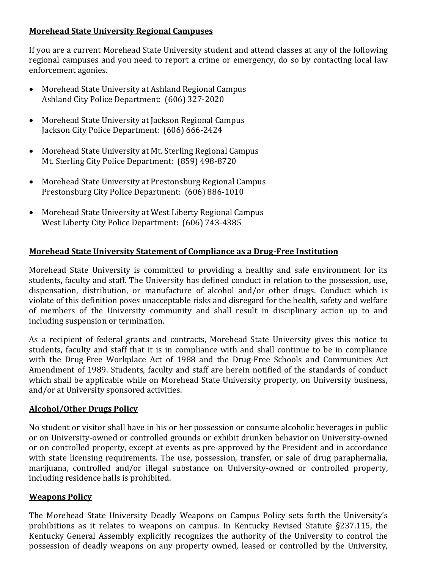## **Morehead State University Regional Campuses**

If you are a current Morehead State University student and attend classes at any of the following regional campuses and you need to report a crime or emergency, do so by contacting local law enforcement agonies.

- Morehead State University at Ashland Regional Campus Ashland City Police Department: (606) 327-2020
- Morehead State University at Jackson Regional Campus Jackson City Police Department: (606) 666-2424
- Morehead State University at Mt. Sterling Regional Campus Mt. Sterling City Police Department: (859) 498-8720
- Morehead State University at Prestonsburg Regional Campus Prestonsburg City Police Department: (606) 886-1010
- Morehead State University at West Liberty Regional Campus West Liberty City Police Department: (606) 743-4385

# **Morehead State University Statement of Compliance as a Drug-Free Institution**

Morehead State University is committed to providing a healthy and safe environment for its students, faculty and staff. The University has defined conduct in relation to the possession, use, dispensation, distribution, or manufacture of alcohol and/or other drugs. Conduct which is violate of this definition poses unacceptable risks and disregard for the health, safety and welfare of members of the University community and shall result in disciplinary action up to and including suspension or termination.

As a recipient of federal grants and contracts, Morehead State University gives this notice to students, faculty and staff that it is in compliance with and shall continue to be in compliance with the Drug-Free Workplace Act of 1988 and the Drug-Free Schools and Communities Act Amendment of 1989. Students, faculty and staff are herein notified of the standards of conduct which shall be applicable while on Morehead State University property, on University business, and/or at University sponsored activities.

#### **Alcohol/Other Drugs Policy**

No student or visitor shall have in his or her possession or consume alcoholic beverages in public or on University-owned or controlled grounds or exhibit drunken behavior on University-owned or on controlled property, except at events as pre-approved by the President and in accordance with state licensing requirements. The use, possession, transfer, or sale of drug paraphernalia, marijuana, controlled and/or illegal substance on University-owned or controlled property, including residence halls is prohibited.

#### **Weapons Policy**

The Morehead State University Deadly Weapons on Campus Policy sets forth the University's prohibitions as it relates to weapons on campus. In Kentucky Revised Statute §237.115, the Kentucky General Assembly explicitly recognizes the authority of the University to control the possession of deadly weapons on any property owned, leased or controlled by the University,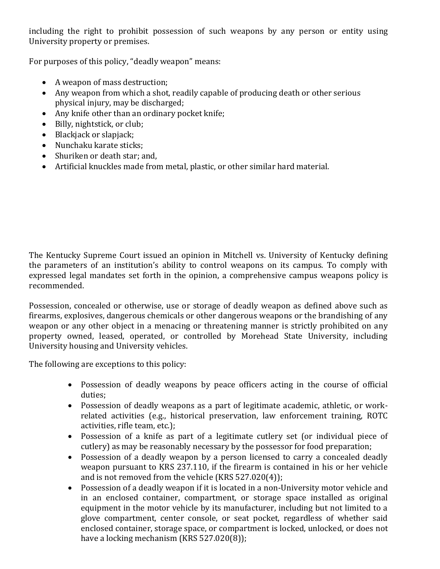including the right to prohibit possession of such weapons by any person or entity using University property or premises.

For purposes of this policy, "deadly weapon" means:

- $\bullet$  A weapon of mass destruction;
- Any weapon from which a shot, readily capable of producing death or other serious physical injury, may be discharged;
- Any knife other than an ordinary pocket knife;
- Billy, nightstick, or club;
- $\bullet$  Blackjack or slapjack;
- Nunchaku karate sticks;
- Shuriken or death star: and,
- Artificial knuckles made from metal, plastic, or other similar hard material.

The Kentucky Supreme Court issued an opinion in Mitchell vs. University of Kentucky defining the parameters of an institution's ability to control weapons on its campus. To comply with expressed legal mandates set forth in the opinion, a comprehensive campus weapons policy is recommended.

Possession, concealed or otherwise, use or storage of deadly weapon as defined above such as firearms, explosives, dangerous chemicals or other dangerous weapons or the brandishing of any weapon or any other object in a menacing or threatening manner is strictly prohibited on any property owned, leased, operated, or controlled by Morehead State University, including University housing and University vehicles.

The following are exceptions to this policy:

- Possession of deadly weapons by peace officers acting in the course of official duties;
- Possession of deadly weapons as a part of legitimate academic, athletic, or workrelated activities (e.g., historical preservation, law enforcement training, ROTC activities, rifle team, etc.);
- Possession of a knife as part of a legitimate cutlery set (or individual piece of cutlery) as may be reasonably necessary by the possessor for food preparation;
- Possession of a deadly weapon by a person licensed to carry a concealed deadly weapon pursuant to KRS 237.110, if the firearm is contained in his or her vehicle and is not removed from the vehicle (KRS  $527.020(4)$ );
- Possession of a deadly weapon if it is located in a non-University motor vehicle and in an enclosed container, compartment, or storage space installed as original equipment in the motor vehicle by its manufacturer, including but not limited to a glove compartment, center console, or seat pocket, regardless of whether said enclosed container, storage space, or compartment is locked, unlocked, or does not have a locking mechanism (KRS  $527.020(8)$ );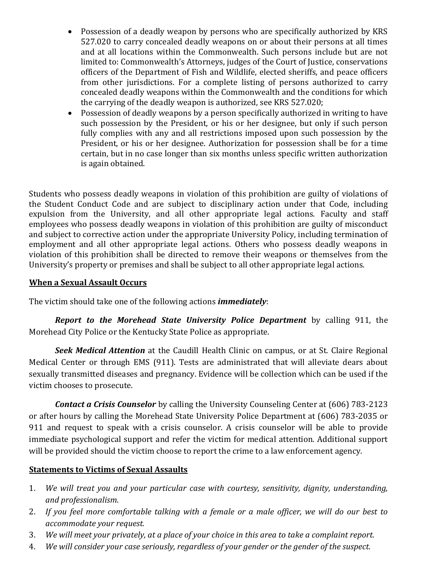- Possession of a deadly weapon by persons who are specifically authorized by KRS 527.020 to carry concealed deadly weapons on or about their persons at all times and at all locations within the Commonwealth. Such persons include but are not limited to: Commonwealth's Attorneys, judges of the Court of Justice, conservations officers of the Department of Fish and Wildlife, elected sheriffs, and peace officers from other jurisdictions. For a complete listing of persons authorized to carry concealed deadly weapons within the Commonwealth and the conditions for which the carrying of the deadly weapon is authorized, see KRS 527.020;
- Possession of deadly weapons by a person specifically authorized in writing to have such possession by the President, or his or her designee, but only if such person fully complies with any and all restrictions imposed upon such possession by the President, or his or her designee. Authorization for possession shall be for a time certain, but in no case longer than six months unless specific written authorization is again obtained.

Students who possess deadly weapons in violation of this prohibition are guilty of violations of the Student Conduct Code and are subject to disciplinary action under that Code, including expulsion from the University, and all other appropriate legal actions. Faculty and staff employees who possess deadly weapons in violation of this prohibition are guilty of misconduct and subject to corrective action under the appropriate University Policy, including termination of employment and all other appropriate legal actions. Others who possess deadly weapons in violation of this prohibition shall be directed to remove their weapons or themselves from the University's property or premises and shall be subject to all other appropriate legal actions.

## **When a Sexual Assault Occurs**

The victim should take one of the following actions *immediately*:

*Report to the Morehead State- University- Police Department* by calling 911, the Morehead City Police or the Kentucky State Police as appropriate.

**Seek Medical Attention** at the Caudill Health Clinic on campus, or at St. Claire Regional Medical Center or through EMS (911). Tests are administrated that will alleviate dears about sexually transmitted diseases and pregnancy. Evidence will be collection which can be used if the victim chooses to prosecute.

**Contact a Crisis Counselor** by calling the University Counseling Center at (606) 783-2123 or after hours by calling the Morehead State University Police Department at (606) 783-2035 or 911 and request to speak with a crisis counselor. A crisis counselor will be able to provide immediate psychological support and refer the victim for medical attention. Additional support will be provided should the victim choose to report the crime to a law enforcement agency.

#### **Statements to Victims of Sexual Assaults**

- 1. *We will treat you and your particular case with courtesy, sensitivity, dignity, understanding, and#professionalism*.
- 2. If you feel more comfortable talking with a female or a male officer, we will do our best to *accommodate#your#request.*
- 3. We will meet your privately, at a place of your choice in this area to take a complaint report.
- 4. *We will consider your case seriously, regardless of your gender or the gender of the suspect.*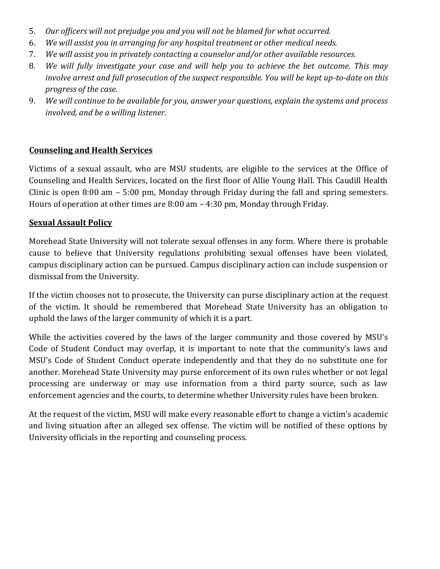- 5. Our officers will not prejudge you and you will not be blamed for what occurred.
- 6. *We will assist you in arranging for any hospital treatment or other medical needs.*
- 7. *We will assist you in privately contacting a counselor and/or other available resources.*
- 8. *We will fully investigate your case and will help you to achieve the bet outcome. This may involve arrest and full prosecution of the suspect responsible. You will be kept up-to-date on this progress of the case.*
- 9. *We will continue to be available for you, answer your questions, explain the systems and process involved, and be a willing listener.*

#### **Counseling and Health Services**

Victims of a sexual assault, who are MSU students, are eligible to the services at the Office of Counseling and Health Services, located on the first floor of Allie Young Hall. This Caudill Health Clinic is open  $8:00$  am  $-5:00$  pm, Monday through Friday during the fall and spring semesters. Hours of operation at other times are  $8:00$  am  $-4:30$  pm, Monday through Friday.

#### **Sexual Assault Policy**

Morehead State University will not tolerate sexual offenses in any form. Where there is probable cause to believe that University regulations prohibiting sexual offenses have been violated, campus disciplinary action can be pursued. Campus disciplinary action can include suspension or dismissal from the University.

If the victim chooses not to prosecute, the University can purse disciplinary action at the request of the victim. It should be remembered that Morehead State University has an obligation to uphold the laws of the larger community of which it is a part.

While the activities covered by the laws of the larger community and those covered by MSU's Code of Student Conduct may overlap, it is important to note that the community's laws and MSU's Code of Student Conduct operate independently and that they do no substitute one for another. Morehead State University may purse enforcement of its own rules whether or not legal processing are underway or may use information from a third party source, such as law enforcement agencies and the courts, to determine whether University rules have been broken.

At the request of the victim, MSU will make every reasonable effort to change a victim's academic and living situation after an alleged sex offense. The victim will be notified of these options by University officials in the reporting and counseling process.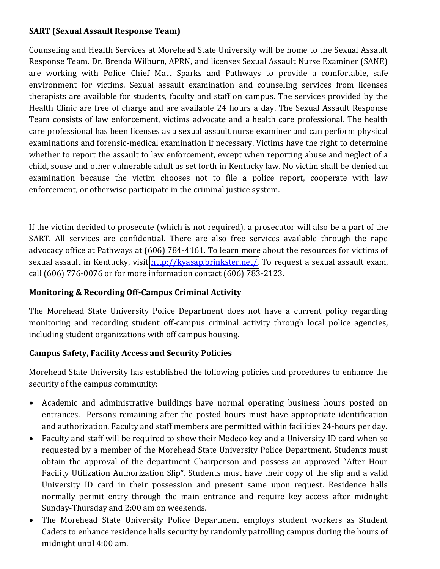# **SART (Sexual Assault Response Team)**

Counseling and Health Services at Morehead State University will be home to the Sexual Assault Response Team. Dr. Brenda Wilburn, APRN, and licenses Sexual Assault Nurse Examiner (SANE) are working with Police Chief Matt Sparks and Pathways to provide a comfortable, safe environment for victims. Sexual assault examination and counseling services from licenses therapists are available for students, faculty and staff on campus. The services provided by the Health Clinic are free of charge and are available 24 hours a day. The Sexual Assault Response Team consists of law enforcement, victims advocate and a health care professional. The health care professional has been licenses as a sexual assault nurse examiner and can perform physical examinations and forensic-medical examination if necessary. Victims have the right to determine whether to report the assault to law enforcement, except when reporting abuse and neglect of a child, souse and other vulnerable adult as set forth in Kentucky law. No victim shall be denied an examination because the victim chooses not to file a police report, cooperate with law enforcement, or otherwise participate in the criminal justice system.

If the victim decided to prosecute (which is not required), a prosecutor will also be a part of the SART. All services are confidential. There are also free services available through the rape advocacy office at Pathways at (606) 784-4161. To learn more about the resources for victims of sexual assault in Kentucky, visit http://kyasap.brinkster.net/. To request a sexual assault exam, call (606) 776-0076 or for more information contact (606) 783-2123.

# **Monitoring & Recording Off-Campus Criminal Activity**

The Morehead State University Police Department does not have a current policy regarding monitoring and recording student off-campus criminal activity through local police agencies, including student organizations with off campus housing.

# **Campus Safety, Facility Access and Security Policies**

Morehead State University has established the following policies and procedures to enhance the security of the campus community:

- Academic and administrative buildings have normal operating business hours posted on entrances. Persons remaining after the posted hours must have appropriate identification and authorization. Faculty and staff members are permitted within facilities 24-hours per day.
- Faculty and staff will be required to show their Medeco key and a University ID card when so requested by a member of the Morehead State University Police Department. Students must obtain the approval of the department Chairperson and possess an approved "After Hour Facility Utilization Authorization Slip". Students must have their copy of the slip and a valid University ID card in their possession and present same upon request. Residence halls normally permit entry through the main entrance and require key access after midnight Sunday-Thursday and 2:00 am on weekends.
- The Morehead State University Police Department employs student workers as Student Cadets to enhance residence halls security by randomly patrolling campus during the hours of midnight until 4:00 am.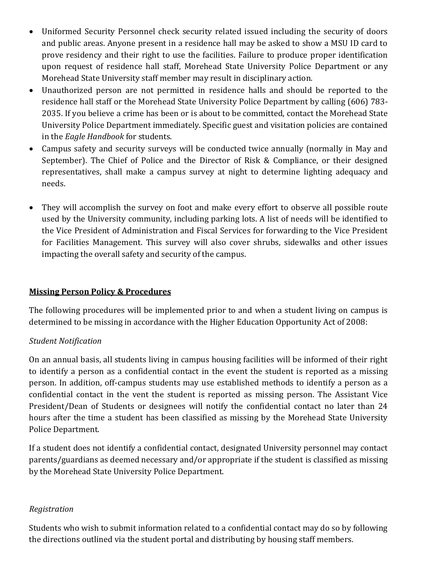- Uniformed Security Personnel check security related issued including the security of doors and public areas. Anyone present in a residence hall may be asked to show a MSU ID card to prove residency and their right to use the facilities. Failure to produce proper identification upon request of residence hall staff, Morehead State University Police Department or any Morehead State University staff member may result in disciplinary action.
- Unauthorized person are not permitted in residence halls and should be reported to the residence hall staff or the Morehead State University Police Department by calling (606) 783-2035. If you believe a crime has been or is about to be committed, contact the Morehead State University Police Department immediately. Specific guest and visitation policies are contained in the *Eagle Handbook* for students.
- Campus safety and security surveys will be conducted twice annually (normally in May and September). The Chief of Police and the Director of Risk & Compliance, or their designed representatives, shall make a campus survey at night to determine lighting adequacy and needs.
- They will accomplish the survey on foot and make every effort to observe all possible route used by the University community, including parking lots. A list of needs will be identified to the Vice President of Administration and Fiscal Services for forwarding to the Vice President for Facilities Management. This survey will also cover shrubs, sidewalks and other issues impacting the overall safety and security of the campus.

# **Missing Person Policy & Procedures**

The following procedures will be implemented prior to and when a student living on campus is determined to be missing in accordance with the Higher Education Opportunity Act of 2008:

# *Student#Notification*

On an annual basis, all students living in campus housing facilities will be informed of their right to identify a person as a confidential contact in the event the student is reported as a missing person. In addition, off-campus students may use established methods to identify a person as a confidential contact in the vent the student is reported as missing person. The Assistant Vice President/Dean of Students or designees will notify the confidential contact no later than 24 hours after the time a student has been classified as missing by the Morehead State University Police Department.

If a student does not identify a confidential contact, designated University personnel may contact parents/guardians as deemed necessary and/or appropriate if the student is classified as missing by the Morehead State University Police Department.

# *Registration*

Students who wish to submit information related to a confidential contact may do so by following the directions outlined via the student portal and distributing by housing staff members.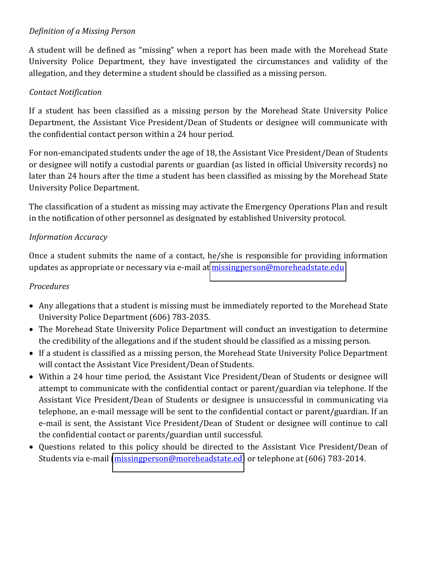# *Definition of a Missing Person*

A student will be defined as "missing" when a report has been made with the Morehead State University Police Department, they have investigated the circumstances and validity of the allegation, and they determine a student should be classified as a missing person.

# *Contact#Notification*

If a student has been classified as a missing person by the Morehead State University Police Department, the Assistant Vice President/Dean of Students or designee will communicate with the confidential contact person within a 24 hour period.

For non-emancipated students under the age of 18, the Assistant Vice President/Dean of Students or designee will notify a custodial parents or guardian (as listed in official University records) no later than 24 hours after the time a student has been classified as missing by the Morehead State University Police Department.

The classification of a student as missing may activate the Emergency Operations Plan and result in the notification of other personnel as designated by established University protocol.

# *Information#Accuracy*

Once a student submits the name of a contact, he/she is responsible for providing information updates as appropriate or necessary via e-mail at missingperson@moreheadstate.edu

# *Procedures*

- Any allegations that a student is missing must be immediately reported to the Morehead State University Police Department (606) 783-2035.
- The Morehead State University Police Department will conduct an investigation to determine the credibility of the allegations and if the student should be classified as a missing person.
- If a student is classified as a missing person, the Morehead State University Police Department will contact the Assistant Vice President/Dean of Students.
- Within a 24 hour time period, the Assistant Vice President/Dean of Students or designee will attempt to communicate with the confidential contact or parent/guardian via telephone. If the Assistant Vice President/Dean of Students or designee is unsuccessful in communicating via telephone, an e-mail message will be sent to the confidential contact or parent/guardian. If an e-mail is sent, the Assistant Vice President/Dean of Student or designee will continue to call the confidential contact or parents/guardian until successful.
- Questions related to this policy should be directed to the Assistant Vice President/Dean of Students via e-mail [\(missingperson@moreheadstate.ed\)](mailto:missingperson@moreheadstate.ed) or telephone at (606) 783-2014.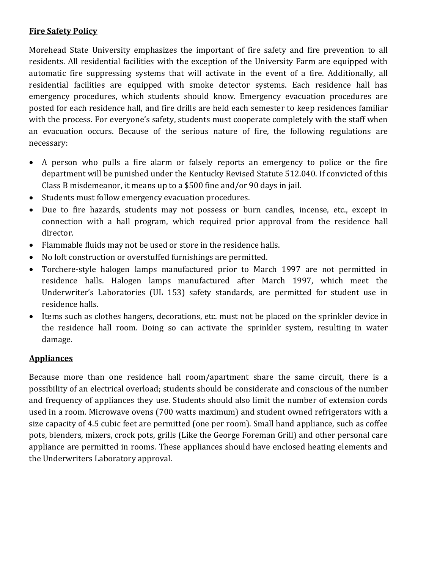# **Fire Safety Policy**

Morehead State University emphasizes the important of fire safety and fire prevention to all residents. All residential facilities with the exception of the University Farm are equipped with automatic fire suppressing systems that will activate in the event of a fire. Additionally, all residential facilities are equipped with smoke detector systems. Each residence hall has emergency procedures, which students should know. Emergency evacuation procedures are posted for each residence hall, and fire drills are held each semester to keep residences familiar with the process. For everyone's safety, students must cooperate completely with the staff when an evacuation occurs. Because of the serious nature of fire, the following regulations are necessary:

- A person who pulls a fire alarm or falsely reports an emergency to police or the fire department will be punished under the Kentucky Revised Statute 512.040. If convicted of this Class B misdemeanor, it means up to a \$500 fine and/or 90 days in jail.
- Students must follow emergency evacuation procedures.
- Due to fire hazards, students may not possess or burn candles, incense, etc., except in connection with a hall program, which required prior approval from the residence hall director.
- Flammable fluids may not be used or store in the residence halls.
- No loft construction or overstuffed furnishings are permitted.
- Torchere-style halogen lamps manufactured prior to March 1997 are not permitted in residence halls. Halogen lamps manufactured after March 1997, which meet the Underwriter's Laboratories (UL 153) safety standards, are permitted for student use in residence halls.
- Items such as clothes hangers, decorations, etc. must not be placed on the sprinkler device in the residence hall room. Doing so can activate the sprinkler system, resulting in water damage.

# **Appliances**

Because more than one residence hall room/apartment share the same circuit, there is a possibility of an electrical overload; students should be considerate and conscious of the number and frequency of appliances they use. Students should also limit the number of extension cords used in a room. Microwave ovens (700 watts maximum) and student owned refrigerators with a size capacity of 4.5 cubic feet are permitted (one per room). Small hand appliance, such as coffee pots, blenders, mixers, crock pots, grills (Like the George Foreman Grill) and other personal care appliance are permitted in rooms. These appliances should have enclosed heating elements and the Underwriters Laboratory approval.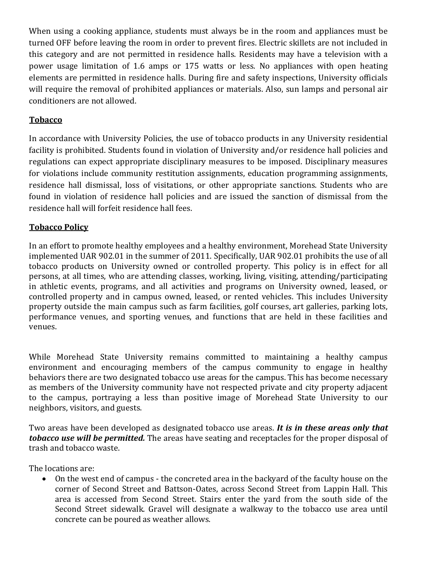When using a cooking appliance, students must always be in the room and appliances must be turned OFF before leaving the room in order to prevent fires. Electric skillets are not included in this category and are not permitted in residence halls. Residents may have a television with a power usage limitation of 1.6 amps or 175 watts or less. No appliances with open heating elements are permitted in residence halls. During fire and safety inspections, University officials will require the removal of prohibited appliances or materials. Also, sun lamps and personal air conditioners are not allowed.

# **Tobacco**

In accordance with University Policies, the use of tobacco products in any University residential facility is prohibited. Students found in violation of University and/or residence hall policies and regulations can expect appropriate disciplinary measures to be imposed. Disciplinary measures for violations include community restitution assignments, education programming assignments, residence hall dismissal, loss of visitations, or other appropriate sanctions. Students who are found in violation of residence hall policies and are issued the sanction of dismissal from the residence hall will forfeit residence hall fees.

# **Tobacco Policy**

In an effort to promote healthy employees and a healthy environment, Morehead State University implemented UAR 902.01 in the summer of 2011. Specifically, UAR 902.01 prohibits the use of all tobacco products on University owned or controlled property. This policy is in effect for all persons, at all times, who are attending classes, working, living, visiting, attending/participating in athletic events, programs, and all activities and programs on University owned, leased, or controlled property and in campus owned, leased, or rented vehicles. This includes University property outside the main campus such as farm facilities, golf courses, art galleries, parking lots, performance venues, and sporting venues, and functions that are held in these facilities and venues.

While Morehead State University remains committed to maintaining a healthy campus environment and encouraging members of the campus community to engage in healthy behaviors there are two designated tobacco use areas for the campus. This has become necessary as members of the University community have not respected private and city property adjacent to the campus, portraying a less than positive image of Morehead State University to our neighbors, visitors, and guests.

Two areas have been developed as designated tobacco use areas. *It is in these areas only that* **tobacco-use-will-be-permitted.** The areas have seating and receptacles for the proper disposal of trash and tobacco waste.

The locations are:

• On the west end of campus - the concreted area in the backyard of the faculty house on the corner of Second Street and Battson-Oates, across Second Street from Lappin Hall. This area is accessed from Second Street. Stairs enter the yard from the south side of the Second Street sidewalk. Gravel will designate a walkway to the tobacco use area until concrete can be poured as weather allows.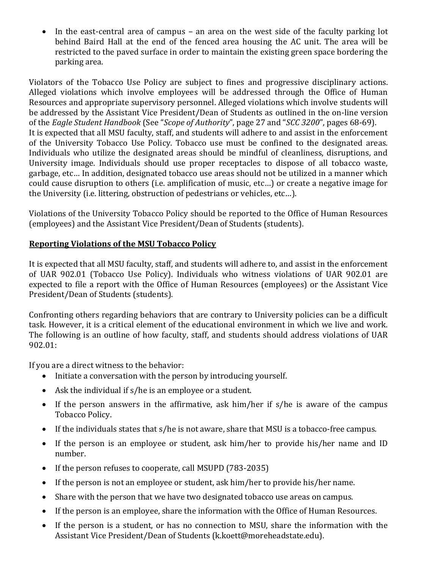In the east-central area of campus – an area on the west side of the faculty parking lot behind Baird Hall at the end of the fenced area housing the AC unit. The area will be restricted to the paved surface in order to maintain the existing green space bordering the parking area.

Violators of the Tobacco Use Policy are subject to fines and progressive disciplinary actions. Alleged violations which involve employees will be addressed through the Office of Human Resources and appropriate supervisory personnel. Alleged violations which involve students will be addressed by the Assistant Vice President/Dean of Students as outlined in the on-line version of the *Eagle Student Handbook* (See "*Scope of Authority*", page 27 and "*SCC 3200*", pages 68-69). It is expected that all MSU faculty, staff, and students will adhere to and assist in the enforcement of the University Tobacco Use Policy. Tobacco use must be confined to the designated areas. Individuals who utilize the designated areas should be mindful of cleanliness, disruptions, and University image. Individuals should use proper receptacles to dispose of all tobacco waste, garbage, etc... In addition, designated tobacco use areas should not be utilized in a manner which could cause disruption to others (i.e. amplification of music, etc...) or create a negative image for the University (i.e. littering, obstruction of pedestrians or vehicles, etc...).

Violations of the University Tobacco Policy should be reported to the Office of Human Resources (employees) and the Assistant Vice President/Dean of Students (students).

# **Reporting Violations of the MSU Tobacco Policy**

It is expected that all MSU faculty, staff, and students will adhere to, and assist in the enforcement of UAR 902.01 (Tobacco Use Policy). Individuals who witness violations of UAR 902.01 are expected to file a report with the Office of Human Resources (employees) or the Assistant Vice President/Dean of Students (students).

Confronting others regarding behaviors that are contrary to University policies can be a difficult task. However, it is a critical element of the educational environment in which we live and work. The following is an outline of how faculty, staff, and students should address violations of UAR 902.01:

If you are a direct witness to the behavior:

- $\bullet$  Initiate a conversation with the person by introducing yourself.
- $\bullet$  Ask the individual if s/he is an employee or a student.
- If the person answers in the affirmative, ask  $\lim/\text{her}$  if s/he is aware of the campus Tobacco Policy.
- If the individuals states that s/he is not aware, share that MSU is a tobacco-free campus.
- If the person is an employee or student, ask him/her to provide his/her name and ID number.!
- $\bullet$  If the person refuses to cooperate, call MSUPD (783-2035)
- $\bullet$  If the person is not an employee or student, ask him/her to provide his/her name.
- Share with the person that we have two designated tobacco use areas on campus.
- If the person is an employee, share the information with the Office of Human Resources.
- If the person is a student, or has no connection to MSU, share the information with the Assistant Vice President/Dean of Students (k.koett@moreheadstate.edu).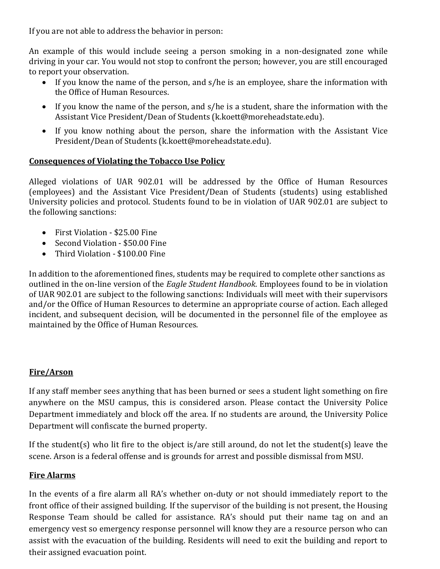If you are not able to address the behavior in person:

An example of this would include seeing a person smoking in a non-designated zone while driving in your car. You would not stop to confront the person; however, you are still encouraged to report your observation.

- If you know the name of the person, and  $s/he$  is an employee, share the information with the Office of Human Resources.
- If you know the name of the person, and s/he is a student, share the information with the Assistant Vice President/Dean of Students (k.koett@moreheadstate.edu).
- If you know nothing about the person, share the information with the Assistant Vice President/Dean of Students (k.koett@moreheadstate.edu).

#### **Consequences of Violating the Tobacco Use Policy**

Alleged violations of UAR 902.01 will be addressed by the Office of Human Resources (employees) and the Assistant Vice President/Dean of Students (students) using established University policies and protocol. Students found to be in violation of UAR 902.01 are subject to the following sanctions:

- $\bullet$  First Violation \$25.00 Fine
- Second Violation \$50.00 Fine
- Third Violation \$100.00 Fine

In addition to the aforementioned fines, students may be required to complete other sanctions as outlined in the on-line version of the *Eagle Student Handbook*. Employees found to be in violation of UAR 902.01 are subject to the following sanctions: Individuals will meet with their supervisors and/or the Office of Human Resources to determine an appropriate course of action. Each alleged incident, and subsequent decision, will be documented in the personnel file of the employee as maintained by the Office of Human Resources.

#### **Fire/Arson**

If any staff member sees anything that has been burned or sees a student light something on fire anywhere on the MSU campus, this is considered arson. Please contact the University Police Department immediately and block off the area. If no students are around, the University Police Department will confiscate the burned property.

If the student(s) who lit fire to the object is/are still around, do not let the student(s) leave the scene. Arson is a federal offense and is grounds for arrest and possible dismissal from MSU.

#### **Fire Alarms**

In the events of a fire alarm all RA's whether on-duty or not should immediately report to the front office of their assigned building. If the supervisor of the building is not present, the Housing Response Team should be called for assistance. RA's should put their name tag on and an emergency vest so emergency response personnel will know they are a resource person who can assist with the evacuation of the building. Residents will need to exit the building and report to their assigned evacuation point.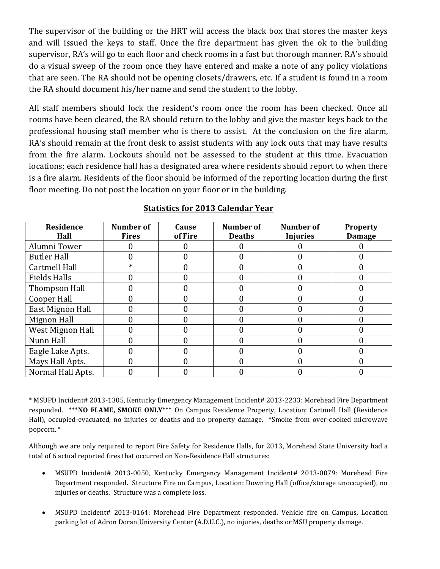The supervisor of the building or the HRT will access the black box that stores the master keys and will issued the keys to staff. Once the fire department has given the ok to the building supervisor, RA's will go to each floor and check rooms in a fast but thorough manner. RA's should do a visual sweep of the room once they have entered and make a note of any policy violations that are seen. The RA should not be opening closets/drawers, etc. If a student is found in a room the RA should document his/her name and send the student to the lobby.

All staff members should lock the resident's room once the room has been checked. Once all rooms have been cleared, the RA should return to the lobby and give the master keys back to the professional housing staff member who is there to assist. At the conclusion on the fire alarm, RA's should remain at the front desk to assist students with any lock outs that may have results from the fire alarm. Lockouts should not be assessed to the student at this time. Evacuation locations; each residence hall has a designated area where residents should report to when there is a fire alarm. Residents of the floor should be informed of the reporting location during the first floor meeting. Do not post the location on your floor or in the building.

| <b>Residence</b><br>Hall | Number of<br><b>Fires</b> | Cause<br>of Fire | Number of<br><b>Deaths</b> | <b>Number</b> of<br><b>Injuries</b> | <b>Property</b><br><b>Damage</b> |
|--------------------------|---------------------------|------------------|----------------------------|-------------------------------------|----------------------------------|
| Alumni Tower             |                           |                  |                            |                                     |                                  |
| <b>Butler Hall</b>       |                           |                  |                            |                                     |                                  |
| <b>Cartmell Hall</b>     | $\ast$                    |                  |                            |                                     |                                  |
| <b>Fields Halls</b>      |                           |                  |                            |                                     |                                  |
| Thompson Hall            |                           |                  |                            |                                     |                                  |
| Cooper Hall              |                           |                  |                            |                                     |                                  |
| East Mignon Hall         |                           |                  |                            |                                     |                                  |
| Mignon Hall              |                           |                  |                            |                                     |                                  |
| West Mignon Hall         |                           |                  |                            |                                     |                                  |
| Nunn Hall                |                           |                  |                            |                                     |                                  |
| Eagle Lake Apts.         |                           |                  |                            |                                     |                                  |
| Mays Hall Apts.          |                           |                  |                            |                                     |                                  |
| Normal Hall Apts.        |                           |                  |                            |                                     |                                  |

#### **Statistics for 2013 Calendar Year**

\* MSUPD Incident# 2013-1305, Kentucky Emergency Management Incident# 2013-2233: Morehead Fire Department responded. \*\*\***NO FLAME, SMOKE ONLY**\*\*\* On Campus Residence Property, Location: Cartmell Hall (Residence Hall), occupied-evacuated, no injuries or deaths and no property damage. \*Smoke from over-cooked microwave popcorn. \*

Although we are only required to report Fire Safety for Residence Halls, for 2013, Morehead State University had a total of 6 actual reported fires that occurred on Non-Residence Hall structures:

- MSUPD Incident# 2013-0050, Kentucky Emergency Management Incident# 2013-0079: Morehead Fire Department responded. Structure Fire on Campus, Location: Downing Hall (office/storage unoccupied), no injuries or deaths. Structure was a complete loss.
- MSUPD Incident# 2013-0164: Morehead Fire Department responded. Vehicle fire on Campus, Location parking lot of Adron Doran University Center (A.D.U.C.), no injuries, deaths or MSU property damage.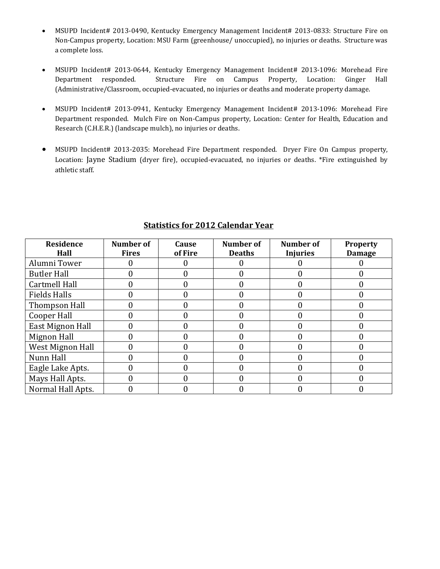- MSUPD Incident# 2013-0490, Kentucky Emergency Management Incident# 2013-0833: Structure Fire on Non-Campus property, Location: MSU Farm (greenhouse/ unoccupied), no injuries or deaths. Structure was a complete loss.
- MSUPD Incident# 2013-0644, Kentucky Emergency Management Incident# 2013-1096: Morehead Fire Department responded. Structure Fire on Campus Property, Location: Ginger Hall (Administrative/Classroom, occupied-evacuated, no injuries or deaths and moderate property damage.
- MSUPD Incident# 2013-0941, Kentucky Emergency Management Incident# 2013-1096: Morehead Fire Department responded. Mulch Fire on Non-Campus property, Location: Center for Health, Education and Research (C.H.E.R.) (landscape mulch), no injuries or deaths.
- MSUPD Incident# 2013-2035: Morehead Fire Department responded. Dryer Fire On Campus property, Location: Jayne Stadium (dryer fire), occupied-evacuated, no injuries or deaths. \*Fire extinguished by athletic staff.

| Residence<br>Hall       | <b>Number of</b><br><b>Fires</b> | Cause<br>of Fire | <b>Number of</b><br><b>Deaths</b> | <b>Number of</b><br><b>Injuries</b> | <b>Property</b><br><b>Damage</b> |
|-------------------------|----------------------------------|------------------|-----------------------------------|-------------------------------------|----------------------------------|
| Alumni Tower            |                                  |                  |                                   |                                     |                                  |
| <b>Butler Hall</b>      |                                  |                  |                                   |                                     |                                  |
| <b>Cartmell Hall</b>    |                                  |                  |                                   |                                     |                                  |
| <b>Fields Halls</b>     |                                  |                  |                                   |                                     |                                  |
| Thompson Hall           |                                  |                  |                                   |                                     |                                  |
| <b>Cooper Hall</b>      |                                  |                  |                                   |                                     |                                  |
| East Mignon Hall        |                                  |                  |                                   |                                     |                                  |
| Mignon Hall             |                                  |                  |                                   |                                     |                                  |
| <b>West Mignon Hall</b> |                                  |                  |                                   |                                     |                                  |
| Nunn Hall               |                                  |                  |                                   |                                     |                                  |
| Eagle Lake Apts.        |                                  |                  |                                   |                                     |                                  |
| Mays Hall Apts.         |                                  |                  | 0                                 |                                     |                                  |
| Normal Hall Apts.       |                                  |                  |                                   |                                     |                                  |

#### **Statistics for 2012 Calendar Year**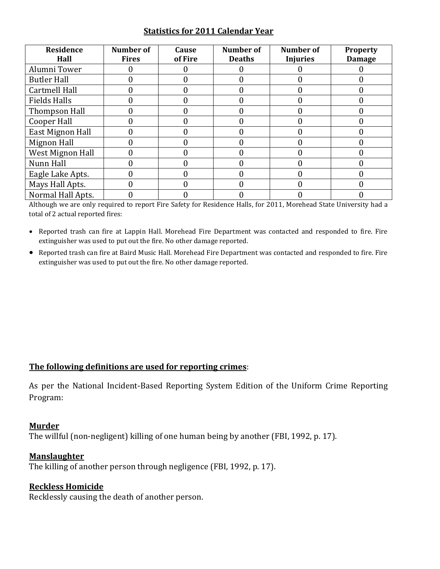#### **Statistics for 2011 Calendar Year**

| Residence<br>Hall       | <b>Number of</b><br><b>Fires</b> | Cause<br>of Fire | Number of<br><b>Deaths</b> | Number of<br><b>Injuries</b> | <b>Property</b><br><b>Damage</b> |
|-------------------------|----------------------------------|------------------|----------------------------|------------------------------|----------------------------------|
| Alumni Tower            |                                  |                  |                            |                              |                                  |
| <b>Butler Hall</b>      |                                  |                  |                            |                              |                                  |
| <b>Cartmell Hall</b>    |                                  |                  |                            |                              |                                  |
| <b>Fields Halls</b>     |                                  |                  |                            |                              |                                  |
| Thompson Hall           |                                  |                  |                            |                              |                                  |
| Cooper Hall             |                                  |                  |                            |                              |                                  |
| East Mignon Hall        |                                  |                  |                            |                              |                                  |
| Mignon Hall             |                                  |                  |                            |                              |                                  |
| <b>West Mignon Hall</b> |                                  |                  |                            |                              |                                  |
| Nunn Hall               |                                  |                  |                            |                              |                                  |
| Eagle Lake Apts.        |                                  |                  |                            |                              |                                  |
| Mays Hall Apts.         |                                  |                  |                            |                              |                                  |
| Normal Hall Apts.       |                                  |                  |                            |                              |                                  |

Although we are only required to report Fire Safety for Residence Halls, for 2011, Morehead State University had a total of 2 actual reported fires:

- Reported trash can fire at Lappin Hall. Morehead Fire Department was contacted and responded to fire. Fire extinguisher was used to put out the fire. No other damage reported.
- Reported trash can fire at Baird Music Hall. Morehead Fire Department was contacted and responded to fire. Fire extinguisher was used to put out the fire. No other damage reported.

# The following definitions are used for reporting crimes:

As per the National Incident-Based Reporting System Edition of the Uniform Crime Reporting Program:

#### **Murder\***

The willful (non-negligent) killing of one human being by another (FBI, 1992, p. 17).

#### **Manslaughter\***

The killing of another person through negligence (FBI, 1992, p. 17).

#### **Reckless Homicide**

Recklessly causing the death of another person.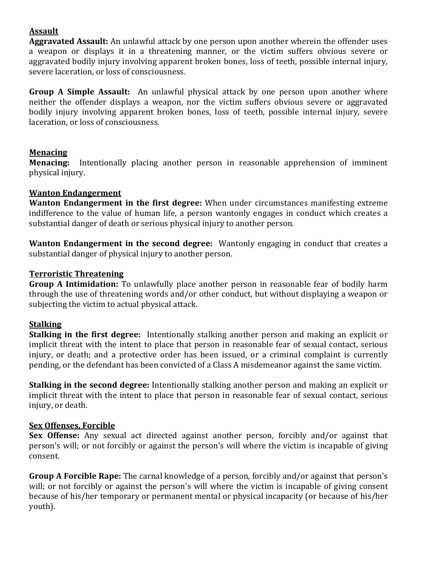# **Assault\***

Aggravated Assault: An unlawful attack by one person upon another wherein the offender uses a weapon or displays it in a threatening manner, or the victim suffers obvious severe or aggravated bodily injury involving apparent broken bones, loss of teeth, possible internal injury, severe laceration, or loss of consciousness.

**Group A Simple Assault:** An unlawful physical attack by one person upon another where neither the offender displays a weapon, nor the victim suffers obvious severe or aggravated bodily injury involving apparent broken bones, loss of teeth, possible internal injury, severe laceration, or loss of consciousness.

# **Menacing\***

**Menacing:** Intentionally placing another person in reasonable apprehension of imminent physical injury.

# **Wanton Endangerment**

**Wanton Endangerment in the first degree:** When under circumstances manifesting extreme indifference to the value of human life, a person wantonly engages in conduct which creates a substantial danger of death or serious physical injury to another person.

**Wanton Endangerment in the second degree:** Wantonly engaging in conduct that creates a substantial danger of physical injury to another person.

# **Terroristic\*Threatening\***

**Group A Intimidation:** To unlawfully place another person in reasonable fear of bodily harm through the use of threatening words and/or other conduct, but without displaying a weapon or subjecting the victim to actual physical attack.

# **Stalking\***

**Stalking in the first degree:** Intentionally stalking another person and making an explicit or implicit threat with the intent to place that person in reasonable fear of sexual contact, serious injury, or death; and a protective order has been issued, or a criminal complaint is currently pending, or the defendant has been convicted of a Class A misdemeanor against the same victim.

**Stalking in the second degree:** Intentionally stalking another person and making an explicit or implicit threat with the intent to place that person in reasonable fear of sexual contact, serious injury, or death.

# **Sex Offenses, Forcible**

**Sex Offense:** Any sexual act directed against another person, forcibly and/or against that person's will; or not forcibly or against the person's will where the victim is incapable of giving consent.

**Group A Forcible Rape:** The carnal knowledge of a person, forcibly and/or against that person's will; or not forcibly or against the person's will where the victim is incapable of giving consent because of his/her temporary or permanent mental or physical incapacity (or because of his/her youth).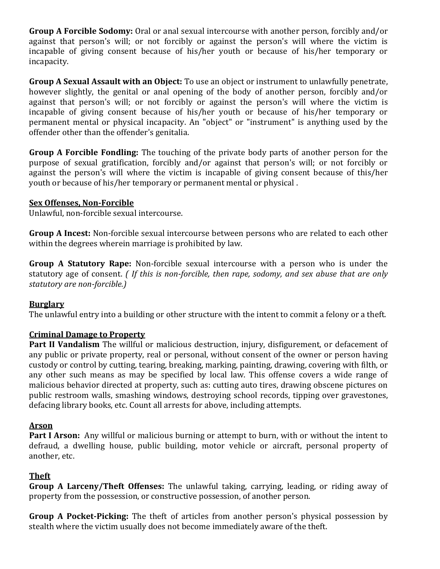**Group A Forcible Sodomy:** Oral or anal sexual intercourse with another person, forcibly and/or against that person's will; or not forcibly or against the person's will where the victim is incapable of giving consent because of his/her youth or because of his/her temporary or incapacity.

**Group A Sexual Assault with an Object:** To use an object or instrument to unlawfully penetrate, however slightly, the genital or anal opening of the body of another person, forcibly and/or against that person's will; or not forcibly or against the person's will where the victim is incapable of giving consent because of his/her vouth or because of his/her temporary or permanent mental or physical incapacity. An "object" or "instrument" is anything used by the offender other than the offender's genitalia.

**Group A Forcible Fondling:** The touching of the private body parts of another person for the purpose of sexual gratification, forcibly and/or against that person's will; or not forcibly or against the person's will where the victim is incapable of giving consent because of this/her youth or because of his/her temporary or permanent mental or physical.

#### **Sex Offenses, Non-Forcible**

Unlawful, non-forcible sexual intercourse.

**Group A Incest:** Non-forcible sexual intercourse between persons who are related to each other within the degrees wherein marriage is prohibited by law.

**Group A Statutory Rape:** Non-forcible sexual intercourse with a person who is under the statutory age of consent. *( If this is non-forcible, then rape, sodomy, and sex abuse that are only statutory are non-forcible.)* 

# **Burglary\***

The unlawful entry into a building or other structure with the intent to commit a felony or a theft.

# **Criminal Damage to Property**

**Part II Vandalism** The willful or malicious destruction, injury, disfigurement, or defacement of any public or private property, real or personal, without consent of the owner or person having custody or control by cutting, tearing, breaking, marking, painting, drawing, covering with filth, or any other such means as may be specified by local law. This offense covers a wide range of malicious behavior directed at property, such as: cutting auto tires, drawing obscene pictures on public restroom walls, smashing windows, destroying school records, tipping over gravestones, defacing library books, etc. Count all arrests for above, including attempts.

# **Arson\***

**Part I Arson:** Any willful or malicious burning or attempt to burn, with or without the intent to defraud, a dwelling house, public building, motor vehicle or aircraft, personal property of another, etc.

# **Theft\***

**Group A Larceny/Theft Offenses:** The unlawful taking, carrying, leading, or riding away of property from the possession, or constructive possession, of another person.

**Group A Pocket-Picking:** The theft of articles from another person's physical possession by stealth where the victim usually does not become immediately aware of the theft.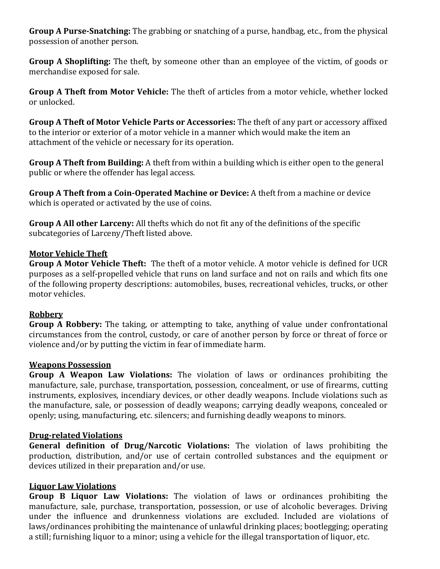**Group A Purse-Snatching:** The grabbing or snatching of a purse, handbag, etc., from the physical possession of another person.

**Group A Shoplifting:** The theft, by someone other than an employee of the victim, of goods or merchandise exposed for sale.

**Group A Theft from Motor Vehicle:** The theft of articles from a motor vehicle, whether locked or unlocked.

**Group A Theft of Motor Vehicle Parts or Accessories:** The theft of any part or accessory affixed to the interior or exterior of a motor vehicle in a manner which would make the item an attachment of the vehicle or necessary for its operation.

**Group A Theft from Building:** A theft from within a building which is either open to the general public or where the offender has legal access.

**Group A Theft from a Coin-Operated Machine or Device:** A theft from a machine or device which is operated or activated by the use of coins.

**Group A All other Larceny:** All thefts which do not fit any of the definitions of the specific subcategories of Larceny/Theft listed above.

#### **Motor Vehicle Theft**

**Group A Motor Vehicle Theft:** The theft of a motor vehicle. A motor vehicle is defined for UCR purposes as a self-propelled vehicle that runs on land surface and not on rails and which fits one of the following property descriptions: automobiles, buses, recreational vehicles, trucks, or other motor vehicles.

#### **Robbery\***

**Group A Robbery:** The taking, or attempting to take, anything of value under confrontational circumstances from the control, custody, or care of another person by force or threat of force or violence and/or by putting the victim in fear of immediate harm.

#### **Weapons Possession**

**Group A Weapon Law Violations:** The violation of laws or ordinances prohibiting the manufacture, sale, purchase, transportation, possession, concealment, or use of firearms, cutting instruments, explosives, incendiary devices, or other deadly weapons. Include violations such as the manufacture, sale, or possession of deadly weapons; carrying deadly weapons, concealed or openly; using, manufacturing, etc. silencers; and furnishing deadly weapons to minors.

# **Drug-related Violations**

**General definition of Drug/Narcotic Violations:** The violation of laws prohibiting the production, distribution, and/or use of certain controlled substances and the equipment or devices utilized in their preparation and/or use.

# **Liquor Law Violations**

**Group B Liquor Law Violations:** The violation of laws or ordinances prohibiting the manufacture, sale, purchase, transportation, possession, or use of alcoholic beverages. Driving under the influence and drunkenness violations are excluded. Included are violations of laws/ordinances prohibiting the maintenance of unlawful drinking places; bootlegging; operating a still; furnishing liquor to a minor; using a vehicle for the illegal transportation of liquor, etc.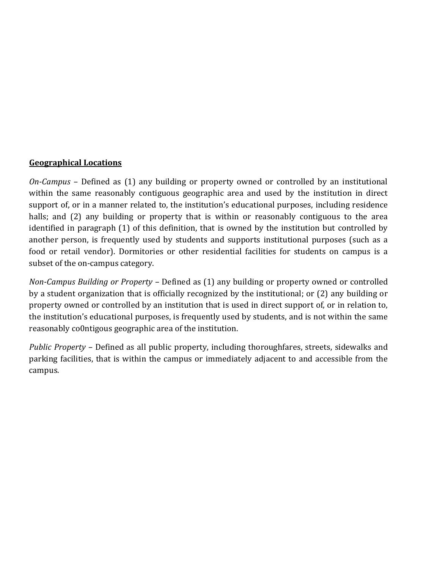#### **Geographical Locations**

*On-Campus* – Defined as (1) any building or property owned or controlled by an institutional within the same reasonably contiguous geographic area and used by the institution in direct support of, or in a manner related to, the institution's educational purposes, including residence halls; and (2) any building or property that is within or reasonably contiguous to the area identified in paragraph (1) of this definition, that is owned by the institution but controlled by another person, is frequently used by students and supports institutional purposes (such as a food or retail vendor). Dormitories or other residential facilities for students on campus is a subset of the on-campus category.

*Non-Campus Building or Property – Defined as (1) any building or property owned or controlled* by a student organization that is officially recognized by the institutional; or (2) any building or property owned or controlled by an institution that is used in direct support of, or in relation to, the institution's educational purposes, is frequently used by students, and is not within the same reasonably co0ntigous geographic area of the institution.

*Public Property –* Defined as all public property, including thoroughfares, streets, sidewalks and parking facilities, that is within the campus or immediately adjacent to and accessible from the campus.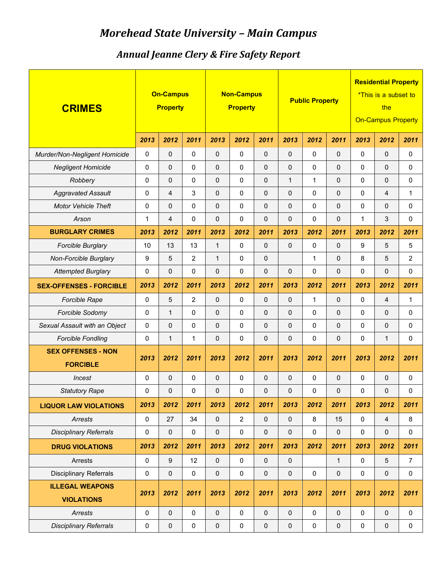# *Morehead-State-University-Ȃ Main-Campus*

# *Annual-Jeanne-Clery-&-Fire-Safety-Report*

| <b>CRIMES</b>                               |           | <b>On-Campus</b><br><b>Property</b> |                |                     | <b>Non-Campus</b><br><b>Property</b> |                     |              | <b>Public Property</b> |              | <b>Residential Property</b><br><i>*This is a subset to</i><br>the<br><b>On-Campus Property</b> |                     |                |  |
|---------------------------------------------|-----------|-------------------------------------|----------------|---------------------|--------------------------------------|---------------------|--------------|------------------------|--------------|------------------------------------------------------------------------------------------------|---------------------|----------------|--|
|                                             | 2013      | 2012                                | 2011           | 2013                | 2012                                 | 2011                | 2013         | 2012                   | 2011         | 2013                                                                                           | 2012                | 2011           |  |
| Murder/Non-Negligent Homicide               | 0         | $\Omega$                            | $\mathbf 0$    | $\mathbf{0}$        | 0                                    | 0                   | $\Omega$     | 0                      | 0            | $\mathbf 0$                                                                                    | 0                   | 0              |  |
| <b>Negligent Homicide</b>                   | 0         | $\mathsf 0$                         | $\mathbf 0$    | $\mathbf{0}$        | $\pmb{0}$                            | $\mathbf 0$         | $\mathbf 0$  | 0                      | $\mathbf 0$  | $\Omega$                                                                                       | $\Omega$            | 0              |  |
| Robbery                                     | 0         | $\mathbf{0}$                        | $\mathbf 0$    | $\mathbf 0$         | $\pmb{0}$                            | $\Omega$            | $\mathbf{1}$ | 1                      | $\Omega$     | $\mathbf 0$                                                                                    | $\mathbf{0}$        | 0              |  |
| <b>Aggravated Assault</b>                   | 0         | $\overline{4}$                      | 3              | $\mathbf{0}$        | $\pmb{0}$                            | $\Omega$            | $\Omega$     | 0                      | $\pmb{0}$    | $\mathbf 0$                                                                                    | $\overline{4}$      | 1              |  |
| <b>Motor Vehicle Theft</b>                  | 0         | $\mathsf 0$                         | $\mathbf 0$    | $\mathsf{O}\xspace$ | $\pmb{0}$                            | $\Omega$            | $\Omega$     | 0                      | 0            | $\mathbf 0$                                                                                    | $\mathbf{0}$        | 0              |  |
| Arson                                       | 1         | $\overline{4}$                      | $\mathbf 0$    | $\mathbf{0}$        | 0                                    | $\Omega$            | $\Omega$     | 0                      | 0            | 1                                                                                              | 3                   | 0              |  |
| <b>BURGLARY CRIMES</b>                      | 2013      | 2012                                | 2011           | 2013                | 2012                                 | 2011                | 2013         | 2012                   | 2011         | 2013                                                                                           | 2012                | 2011           |  |
| Forcible Burglary                           | 10        | 13                                  | 13             | $\mathbf{1}$        | $\pmb{0}$                            | $\Omega$            | $\Omega$     | 0                      | $\mathbf 0$  | 9                                                                                              | 5                   | 5              |  |
| Non-Forcible Burglary                       | 9         | 5                                   | 2              | $\mathbf{1}$        | $\pmb{0}$                            | 0                   |              | 1                      | $\Omega$     | 8                                                                                              | 5                   | $\overline{2}$ |  |
| <b>Attempted Burglary</b>                   | 0         | $\mathsf 0$                         | $\mathbf 0$    | $\mathbf{0}$        | 0                                    | $\Omega$            | $\Omega$     | 0                      | $\Omega$     | $\mathbf 0$                                                                                    | $\Omega$            | $\Omega$       |  |
| <b>SEX-OFFENSES - FORCIBLE</b>              | 2013      | 2012                                | 2011           | 2013                | 2012                                 | 2011                | 2013         | 2012                   | 2011         | 2013                                                                                           | 2012                | 2011           |  |
| Forcible Rape                               | 0         | 5                                   | $\overline{2}$ | 0                   | 0                                    | 0                   | $\Omega$     | 1                      | $\Omega$     | $\mathbf 0$                                                                                    | 4                   | 1              |  |
| Forcible Sodomy                             | 0         | $\mathbf{1}$                        | $\mathbf 0$    | $\Omega$            | 0                                    | 0                   | $\mathbf{0}$ | 0                      | 0            | $\mathbf 0$                                                                                    | 0                   | 0              |  |
| Sexual Assault with an Object               | 0         | $\mathbf{0}$                        | $\mathbf 0$    | 0                   | 0                                    | 0                   | $\Omega$     | 0                      | $\mathbf{0}$ | $\mathbf 0$                                                                                    | 0                   | 0              |  |
| <b>Forcible Fondling</b>                    | 0         | $\mathbf{1}$                        | 1              | 0                   | 0                                    | 0                   | $\mathbf{0}$ | 0                      | 0            | $\mathbf 0$                                                                                    | 1                   | 0              |  |
| <b>SEX OFFENSES - NON</b>                   | 2013      | 2012                                | 2011           | 2013                | 2012                                 | 2011                | 2013         | 2012                   | 2011         | 2013                                                                                           | 2012                | 2011           |  |
| <b>FORCIBLE</b>                             |           |                                     |                |                     |                                      |                     |              |                        |              |                                                                                                |                     |                |  |
| Incest                                      | 0         | $\Omega$                            | $\mathbf 0$    | 0                   | $\mathbf 0$                          | 0                   | $\Omega$     | 0                      | $\Omega$     | $\mathbf 0$                                                                                    | 0                   | 0              |  |
| <b>Statutory Rape</b>                       | 0         | 0                                   | $\pmb{0}$      | $\pmb{0}$           | 0                                    | 0                   | $\pmb{0}$    | 0                      | $\mathbf 0$  | $\pmb{0}$                                                                                      | $\pmb{0}$           | 0              |  |
| <b>LIQUOR LAW VIOLATIONS</b>                | 2013      | 2012                                | 2011           | 2013                | 2012                                 | 2011                | 2013         | 2012                   | 2011         | 2013                                                                                           | 2012                | 2011           |  |
| Arrests                                     | 0         | 27                                  | 34             | $\pmb{0}$           | $\overline{c}$                       | $\mathbf 0$         | $\pmb{0}$    | 8                      | 15           | $\pmb{0}$                                                                                      | $\overline{4}$      | 8              |  |
| <b>Disciplinary Referrals</b>               | 0         | $\mathsf{O}\xspace$                 | $\pmb{0}$      | $\pmb{0}$           | $\pmb{0}$                            | 0                   | $\pmb{0}$    | 0                      | $\pmb{0}$    | $\pmb{0}$                                                                                      | 0                   | 0              |  |
| <b>DRUG VIOLATIONS</b>                      | 2013      | 2012                                | 2011           | 2013                | 2012                                 | 2011                | 2013         | 2012                   | 2011         | 2013                                                                                           | 2012                | 2011           |  |
| Arrests                                     | $\pmb{0}$ | $\boldsymbol{9}$                    | 12             | $\pmb{0}$           | $\pmb{0}$                            | $\mathbf 0$         | $\pmb{0}$    |                        | $\mathbf{1}$ | $\pmb{0}$                                                                                      | $\overline{5}$      | $\overline{7}$ |  |
| <b>Disciplinary Referrals</b>               | $\pmb{0}$ | $\pmb{0}$                           | $\pmb{0}$      | $\pmb{0}$           | $\pmb{0}$                            | $\mathbf 0$         | $\pmb{0}$    | $\mathsf{O}\xspace$    | $\pmb{0}$    | $\pmb{0}$                                                                                      | $\mathsf{O}\xspace$ | $\pmb{0}$      |  |
| <b>ILLEGAL WEAPONS</b><br><b>VIOLATIONS</b> | 2013      | 2012                                | 2011           | 2013                | 2012                                 | 2011                | 2013         | 2012                   | 2011         | 2013                                                                                           | 2012                | 2011           |  |
| Arrests                                     | 0         | $\mathbf 0$                         | $\pmb{0}$      | $\pmb{0}$           | $\pmb{0}$                            | $\pmb{0}$           | $\pmb{0}$    | 0                      | $\pmb{0}$    | $\pmb{0}$                                                                                      | $\mathsf{O}\xspace$ | 0              |  |
| <b>Disciplinary Referrals</b>               | 0         | $\pmb{0}$                           | $\pmb{0}$      | $\pmb{0}$           | $\pmb{0}$                            | $\mathsf{O}\xspace$ | $\pmb{0}$    | $\pmb{0}$              | $\pmb{0}$    | $\pmb{0}$                                                                                      | $\pmb{0}$           | $\pmb{0}$      |  |